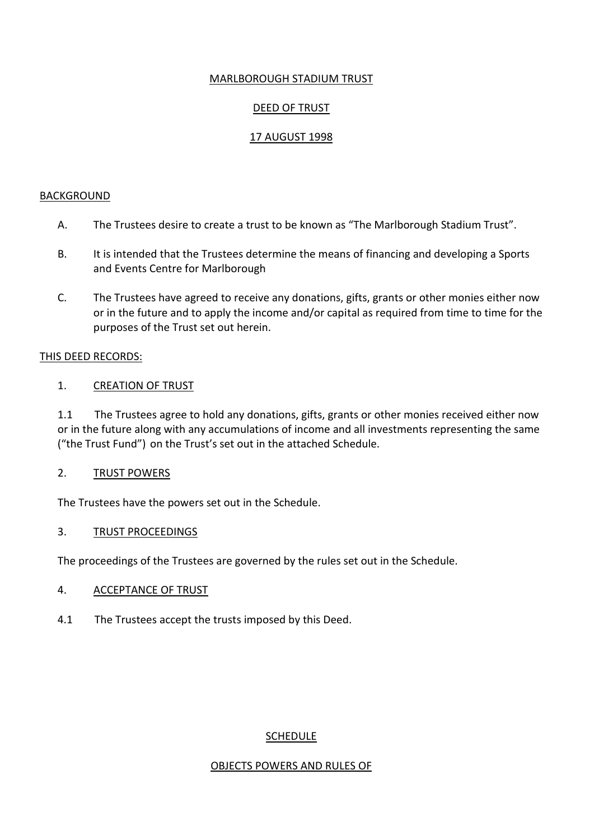# MARLBOROUGH STADIUM TRUST

## DEED OF TRUST

## 17 AUGUST 1998

#### BACKGROUND

- A. The Trustees desire to create a trust to be known as "The Marlborough Stadium Trust".
- B. It is intended that the Trustees determine the means of financing and developing a Sports and Events Centre for Marlborough
- C. The Trustees have agreed to receive any donations, gifts, grants or other monies either now or in the future and to apply the income and/or capital as required from time to time for the purposes of the Trust set out herein.

#### THIS DEED RECORDS:

### 1. CREATION OF TRUST

1.1 The Trustees agree to hold any donations, gifts, grants or other monies received either now or in the future along with any accumulations of income and all investments representing the same ("the Trust Fund") on the Trust's set out in the attached Schedule.

### 2. TRUST POWERS

The Trustees have the powers set out in the Schedule.

### 3. TRUST PROCEEDINGS

The proceedings of the Trustees are governed by the rules set out in the Schedule.

### 4. ACCEPTANCE OF TRUST

4.1 The Trustees accept the trusts imposed by this Deed.

### **SCHEDULE**

### OBJECTS POWERS AND RULES OF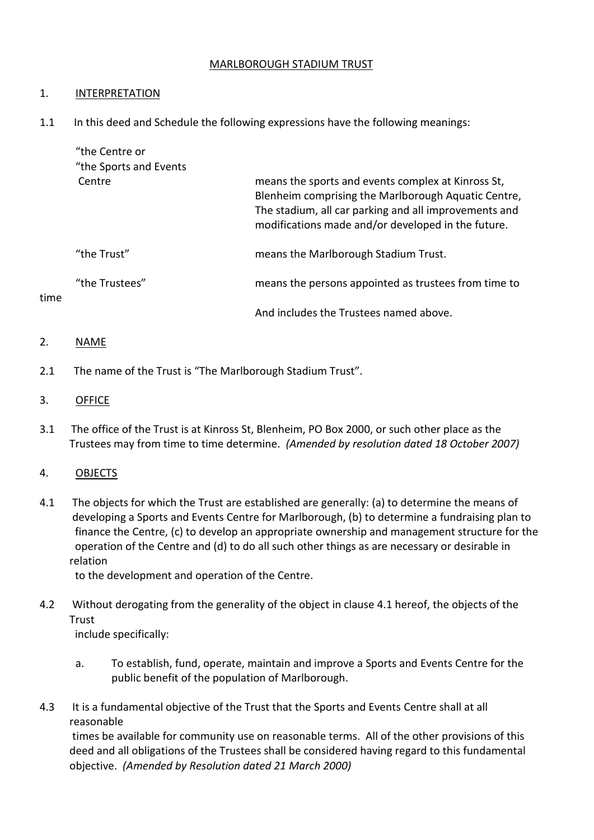## MARLBOROUGH STADIUM TRUST

## 1. **INTERPRETATION**

1.1 In this deed and Schedule the following expressions have the following meanings:

| "the Centre or<br>"the Sports and Events" |                                                                                                                                                                                                                          |
|-------------------------------------------|--------------------------------------------------------------------------------------------------------------------------------------------------------------------------------------------------------------------------|
| Centre                                    | means the sports and events complex at Kinross St,<br>Blenheim comprising the Marlborough Aquatic Centre,<br>The stadium, all car parking and all improvements and<br>modifications made and/or developed in the future. |
| "the Trust"                               | means the Marlborough Stadium Trust.                                                                                                                                                                                     |
| "the Trustees"                            | means the persons appointed as trustees from time to                                                                                                                                                                     |
|                                           | And includes the Trustees named above.                                                                                                                                                                                   |

## 2. NAME

time

2.1 The name of the Trust is "The Marlborough Stadium Trust".

## 3. OFFICE

3.1 The office of the Trust is at Kinross St, Blenheim, PO Box 2000, or such other place as the Trustees may from time to time determine. *(Amended by resolution dated 18 October 2007)*

## 4. OBJECTS

4.1 The objects for which the Trust are established are generally: (a) to determine the means of developing a Sports and Events Centre for Marlborough, (b) to determine a fundraising plan to finance the Centre, (c) to develop an appropriate ownership and management structure for the operation of the Centre and (d) to do all such other things as are necessary or desirable in relation

to the development and operation of the Centre.

4.2 Without derogating from the generality of the object in clause 4.1 hereof, the objects of the Trust

include specifically:

- a. To establish, fund, operate, maintain and improve a Sports and Events Centre for the public benefit of the population of Marlborough.
- 4.3 It is a fundamental objective of the Trust that the Sports and Events Centre shall at all reasonable

times be available for community use on reasonable terms. All of the other provisions of this deed and all obligations of the Trustees shall be considered having regard to this fundamental objective. *(Amended by Resolution dated 21 March 2000)*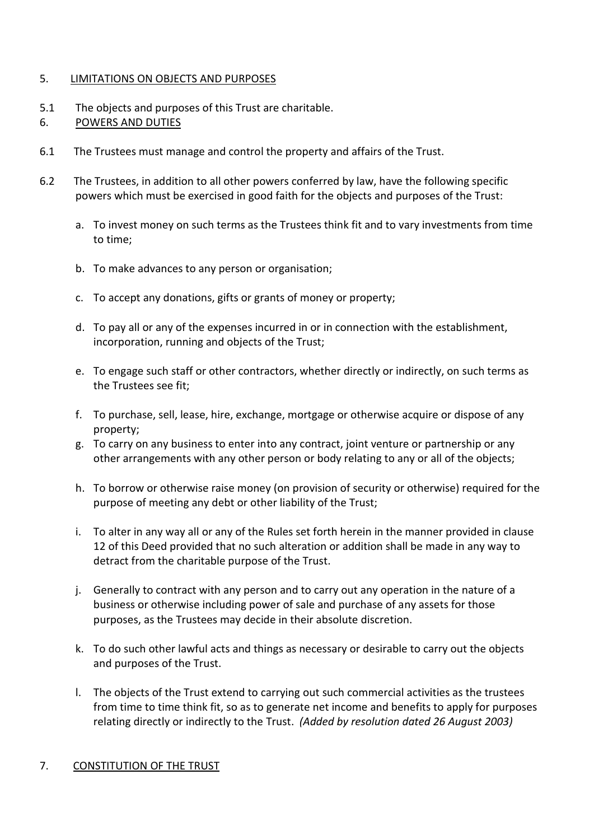## 5. LIMITATIONS ON OBJECTS AND PURPOSES

- 5.1 The objects and purposes of this Trust are charitable.
- 6. POWERS AND DUTIES
- 6.1 The Trustees must manage and control the property and affairs of the Trust.
- 6.2 The Trustees, in addition to all other powers conferred by law, have the following specific powers which must be exercised in good faith for the objects and purposes of the Trust:
	- a. To invest money on such terms as the Trustees think fit and to vary investments from time to time;
	- b. To make advances to any person or organisation;
	- c. To accept any donations, gifts or grants of money or property;
	- d. To pay all or any of the expenses incurred in or in connection with the establishment, incorporation, running and objects of the Trust;
	- e. To engage such staff or other contractors, whether directly or indirectly, on such terms as the Trustees see fit;
	- f. To purchase, sell, lease, hire, exchange, mortgage or otherwise acquire or dispose of any property;
	- g. To carry on any business to enter into any contract, joint venture or partnership or any other arrangements with any other person or body relating to any or all of the objects;
	- h. To borrow or otherwise raise money (on provision of security or otherwise) required for the purpose of meeting any debt or other liability of the Trust;
	- i. To alter in any way all or any of the Rules set forth herein in the manner provided in clause 12 of this Deed provided that no such alteration or addition shall be made in any way to detract from the charitable purpose of the Trust.
	- j. Generally to contract with any person and to carry out any operation in the nature of a business or otherwise including power of sale and purchase of any assets for those purposes, as the Trustees may decide in their absolute discretion.
	- k. To do such other lawful acts and things as necessary or desirable to carry out the objects and purposes of the Trust.
	- l. The objects of the Trust extend to carrying out such commercial activities as the trustees from time to time think fit, so as to generate net income and benefits to apply for purposes relating directly or indirectly to the Trust. *(Added by resolution dated 26 August 2003)*

### 7. CONSTITUTION OF THE TRUST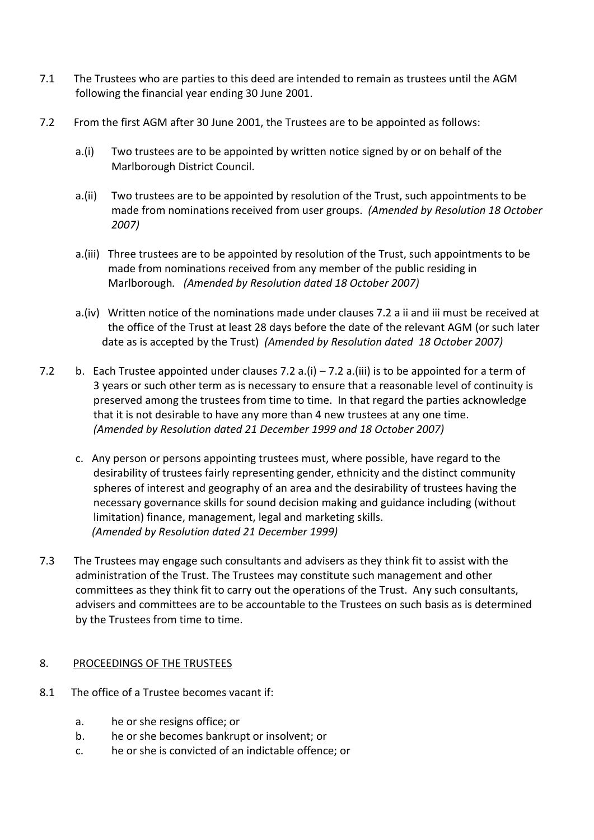- 7.1 The Trustees who are parties to this deed are intended to remain as trustees until the AGM following the financial year ending 30 June 2001.
- 7.2 From the first AGM after 30 June 2001, the Trustees are to be appointed as follows:
	- a.(i) Two trustees are to be appointed by written notice signed by or on behalf of the Marlborough District Council.
	- a.(ii) Two trustees are to be appointed by resolution of the Trust, such appointments to be made from nominations received from user groups. *(Amended by Resolution 18 October 2007)*
	- a.(iii) Three trustees are to be appointed by resolution of the Trust, such appointments to be made from nominations received from any member of the public residing in Marlborough*. (Amended by Resolution dated 18 October 2007)*
	- a.(iv) Written notice of the nominations made under clauses 7.2 a ii and iii must be received at the office of the Trust at least 28 days before the date of the relevant AGM (or such later date as is accepted by the Trust) *(Amended by Resolution dated 18 October 2007)*
- 7.2 b. Each Trustee appointed under clauses 7.2 a.(i) 7.2 a.(iii) is to be appointed for a term of 3 years or such other term as is necessary to ensure that a reasonable level of continuity is preserved among the trustees from time to time. In that regard the parties acknowledge that it is not desirable to have any more than 4 new trustees at any one time. *(Amended by Resolution dated 21 December 1999 and 18 October 2007)*
	- c. Any person or persons appointing trustees must, where possible, have regard to the desirability of trustees fairly representing gender, ethnicity and the distinct community spheres of interest and geography of an area and the desirability of trustees having the necessary governance skills for sound decision making and guidance including (without limitation) finance, management, legal and marketing skills.  *(Amended by Resolution dated 21 December 1999)*
- 7.3 The Trustees may engage such consultants and advisers as they think fit to assist with the administration of the Trust. The Trustees may constitute such management and other committees as they think fit to carry out the operations of the Trust. Any such consultants, advisers and committees are to be accountable to the Trustees on such basis as is determined by the Trustees from time to time.

## 8. PROCEEDINGS OF THE TRUSTEES

- 8.1 The office of a Trustee becomes vacant if:
	- a. he or she resigns office; or
	- b. he or she becomes bankrupt or insolvent; or
	- c. he or she is convicted of an indictable offence; or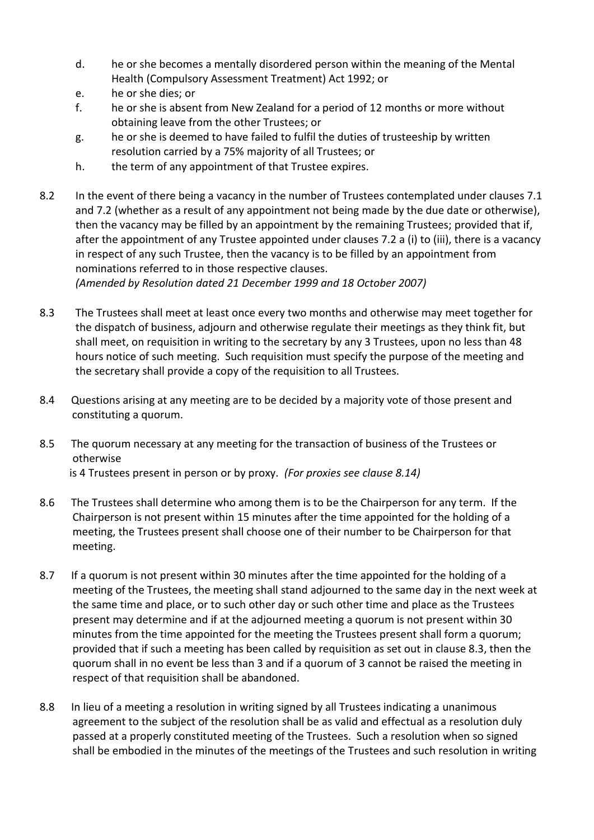- d. he or she becomes a mentally disordered person within the meaning of the Mental Health (Compulsory Assessment Treatment) Act 1992; or
- e. he or she dies; or
- f. he or she is absent from New Zealand for a period of 12 months or more without obtaining leave from the other Trustees; or
- g. he or she is deemed to have failed to fulfil the duties of trusteeship by written resolution carried by a 75% majority of all Trustees; or
- h. the term of any appointment of that Trustee expires.
- 8.2 In the event of there being a vacancy in the number of Trustees contemplated under clauses 7.1 and 7.2 (whether as a result of any appointment not being made by the due date or otherwise), then the vacancy may be filled by an appointment by the remaining Trustees; provided that if, after the appointment of any Trustee appointed under clauses 7.2 a (i) to (iii), there is a vacancy in respect of any such Trustee, then the vacancy is to be filled by an appointment from nominations referred to in those respective clauses.

*(Amended by Resolution dated 21 December 1999 and 18 October 2007)*

- 8.3 The Trustees shall meet at least once every two months and otherwise may meet together for the dispatch of business, adjourn and otherwise regulate their meetings as they think fit, but shall meet, on requisition in writing to the secretary by any 3 Trustees, upon no less than 48 hours notice of such meeting. Such requisition must specify the purpose of the meeting and the secretary shall provide a copy of the requisition to all Trustees.
- 8.4 Questions arising at any meeting are to be decided by a majority vote of those present and constituting a quorum.
- 8.5 The quorum necessary at any meeting for the transaction of business of the Trustees or otherwise is 4 Trustees present in person or by proxy. *(For proxies see clause 8.14)*
- 8.6 The Trustees shall determine who among them is to be the Chairperson for any term. If the Chairperson is not present within 15 minutes after the time appointed for the holding of a meeting, the Trustees present shall choose one of their number to be Chairperson for that meeting.
- 8.7 If a quorum is not present within 30 minutes after the time appointed for the holding of a meeting of the Trustees, the meeting shall stand adjourned to the same day in the next week at the same time and place, or to such other day or such other time and place as the Trustees present may determine and if at the adjourned meeting a quorum is not present within 30 minutes from the time appointed for the meeting the Trustees present shall form a quorum; provided that if such a meeting has been called by requisition as set out in clause 8.3, then the quorum shall in no event be less than 3 and if a quorum of 3 cannot be raised the meeting in respect of that requisition shall be abandoned.
- 8.8 In lieu of a meeting a resolution in writing signed by all Trustees indicating a unanimous agreement to the subject of the resolution shall be as valid and effectual as a resolution duly passed at a properly constituted meeting of the Trustees. Such a resolution when so signed shall be embodied in the minutes of the meetings of the Trustees and such resolution in writing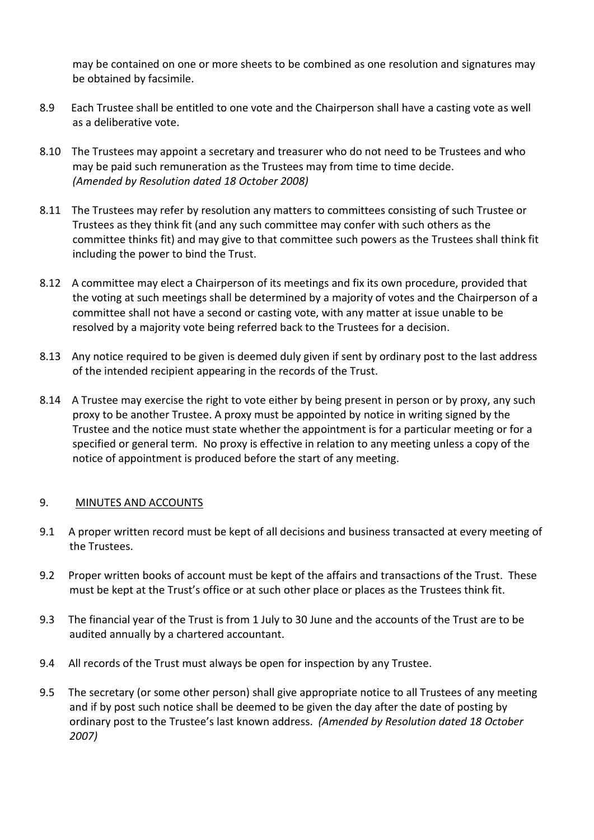may be contained on one or more sheets to be combined as one resolution and signatures may be obtained by facsimile.

- 8.9 Each Trustee shall be entitled to one vote and the Chairperson shall have a casting vote as well as a deliberative vote.
- 8.10 The Trustees may appoint a secretary and treasurer who do not need to be Trustees and who may be paid such remuneration as the Trustees may from time to time decide. *(Amended by Resolution dated 18 October 2008)*
- 8.11 The Trustees may refer by resolution any matters to committees consisting of such Trustee or Trustees as they think fit (and any such committee may confer with such others as the committee thinks fit) and may give to that committee such powers as the Trustees shall think fit including the power to bind the Trust.
- 8.12 A committee may elect a Chairperson of its meetings and fix its own procedure, provided that the voting at such meetings shall be determined by a majority of votes and the Chairperson of a committee shall not have a second or casting vote, with any matter at issue unable to be resolved by a majority vote being referred back to the Trustees for a decision.
- 8.13 Any notice required to be given is deemed duly given if sent by ordinary post to the last address of the intended recipient appearing in the records of the Trust.
- 8.14 A Trustee may exercise the right to vote either by being present in person or by proxy, any such proxy to be another Trustee. A proxy must be appointed by notice in writing signed by the Trustee and the notice must state whether the appointment is for a particular meeting or for a specified or general term. No proxy is effective in relation to any meeting unless a copy of the notice of appointment is produced before the start of any meeting.

## 9. MINUTES AND ACCOUNTS

- 9.1 A proper written record must be kept of all decisions and business transacted at every meeting of the Trustees.
- 9.2 Proper written books of account must be kept of the affairs and transactions of the Trust. These must be kept at the Trust's office or at such other place or places as the Trustees think fit.
- 9.3 The financial year of the Trust is from 1 July to 30 June and the accounts of the Trust are to be audited annually by a chartered accountant.
- 9.4 All records of the Trust must always be open for inspection by any Trustee.
- 9.5 The secretary (or some other person) shall give appropriate notice to all Trustees of any meeting and if by post such notice shall be deemed to be given the day after the date of posting by ordinary post to the Trustee's last known address. *(Amended by Resolution dated 18 October 2007)*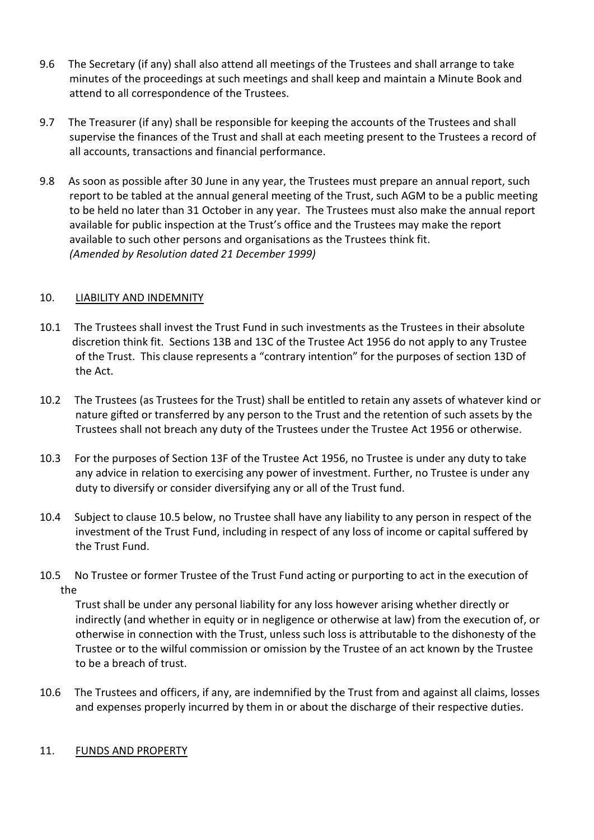- 9.6 The Secretary (if any) shall also attend all meetings of the Trustees and shall arrange to take minutes of the proceedings at such meetings and shall keep and maintain a Minute Book and attend to all correspondence of the Trustees.
- 9.7 The Treasurer (if any) shall be responsible for keeping the accounts of the Trustees and shall supervise the finances of the Trust and shall at each meeting present to the Trustees a record of all accounts, transactions and financial performance.
- 9.8 As soon as possible after 30 June in any year, the Trustees must prepare an annual report, such report to be tabled at the annual general meeting of the Trust, such AGM to be a public meeting to be held no later than 31 October in any year. The Trustees must also make the annual report available for public inspection at the Trust's office and the Trustees may make the report available to such other persons and organisations as the Trustees think fit. *(Amended by Resolution dated 21 December 1999)*

## 10. LIABILITY AND INDEMNITY

- 10.1 The Trustees shall invest the Trust Fund in such investments as the Trustees in their absolute discretion think fit. Sections 13B and 13C of the Trustee Act 1956 do not apply to any Trustee of the Trust. This clause represents a "contrary intention" for the purposes of section 13D of the Act.
- 10.2 The Trustees (as Trustees for the Trust) shall be entitled to retain any assets of whatever kind or nature gifted or transferred by any person to the Trust and the retention of such assets by the Trustees shall not breach any duty of the Trustees under the Trustee Act 1956 or otherwise.
- 10.3 For the purposes of Section 13F of the Trustee Act 1956, no Trustee is under any duty to take any advice in relation to exercising any power of investment. Further, no Trustee is under any duty to diversify or consider diversifying any or all of the Trust fund.
- 10.4 Subject to clause 10.5 below, no Trustee shall have any liability to any person in respect of the investment of the Trust Fund, including in respect of any loss of income or capital suffered by the Trust Fund.
- 10.5 No Trustee or former Trustee of the Trust Fund acting or purporting to act in the execution of the

Trust shall be under any personal liability for any loss however arising whether directly or indirectly (and whether in equity or in negligence or otherwise at law) from the execution of, or otherwise in connection with the Trust, unless such loss is attributable to the dishonesty of the Trustee or to the wilful commission or omission by the Trustee of an act known by the Trustee to be a breach of trust.

10.6 The Trustees and officers, if any, are indemnified by the Trust from and against all claims, losses and expenses properly incurred by them in or about the discharge of their respective duties.

### 11. FUNDS AND PROPERTY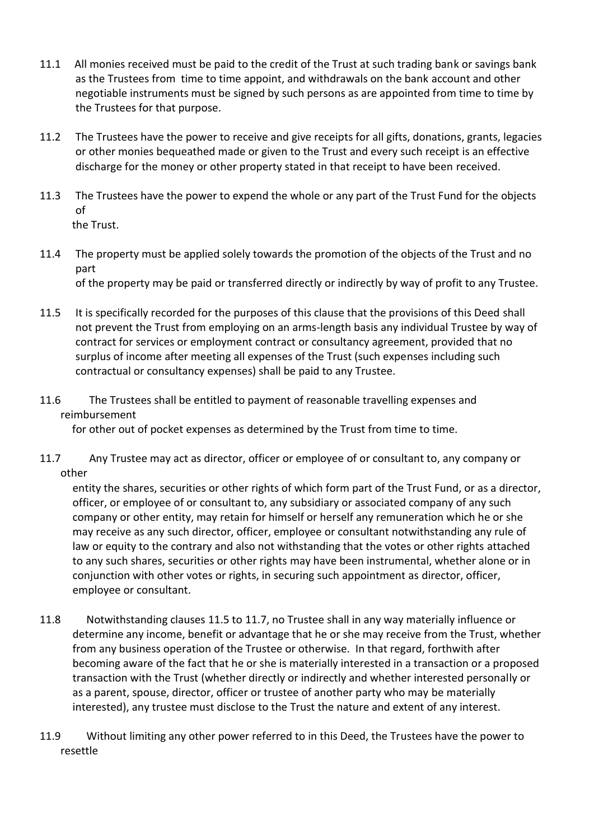- 11.1 All monies received must be paid to the credit of the Trust at such trading bank or savings bank as the Trustees from time to time appoint, and withdrawals on the bank account and other negotiable instruments must be signed by such persons as are appointed from time to time by the Trustees for that purpose.
- 11.2 The Trustees have the power to receive and give receipts for all gifts, donations, grants, legacies or other monies bequeathed made or given to the Trust and every such receipt is an effective discharge for the money or other property stated in that receipt to have been received.
- 11.3 The Trustees have the power to expend the whole or any part of the Trust Fund for the objects of the Trust.
- 11.4 The property must be applied solely towards the promotion of the objects of the Trust and no part of the property may be paid or transferred directly or indirectly by way of profit to any Trustee.
- 11.5 It is specifically recorded for the purposes of this clause that the provisions of this Deed shall not prevent the Trust from employing on an arms-length basis any individual Trustee by way of contract for services or employment contract or consultancy agreement, provided that no surplus of income after meeting all expenses of the Trust (such expenses including such contractual or consultancy expenses) shall be paid to any Trustee.
- 11.6 The Trustees shall be entitled to payment of reasonable travelling expenses and reimbursement

for other out of pocket expenses as determined by the Trust from time to time.

11.7 Any Trustee may act as director, officer or employee of or consultant to, any company or other

entity the shares, securities or other rights of which form part of the Trust Fund, or as a director, officer, or employee of or consultant to, any subsidiary or associated company of any such company or other entity, may retain for himself or herself any remuneration which he or she may receive as any such director, officer, employee or consultant notwithstanding any rule of law or equity to the contrary and also not withstanding that the votes or other rights attached to any such shares, securities or other rights may have been instrumental, whether alone or in conjunction with other votes or rights, in securing such appointment as director, officer, employee or consultant.

- 11.8 Notwithstanding clauses 11.5 to 11.7, no Trustee shall in any way materially influence or determine any income, benefit or advantage that he or she may receive from the Trust, whether from any business operation of the Trustee or otherwise. In that regard, forthwith after becoming aware of the fact that he or she is materially interested in a transaction or a proposed transaction with the Trust (whether directly or indirectly and whether interested personally or as a parent, spouse, director, officer or trustee of another party who may be materially interested), any trustee must disclose to the Trust the nature and extent of any interest.
- 11.9 Without limiting any other power referred to in this Deed, the Trustees have the power to resettle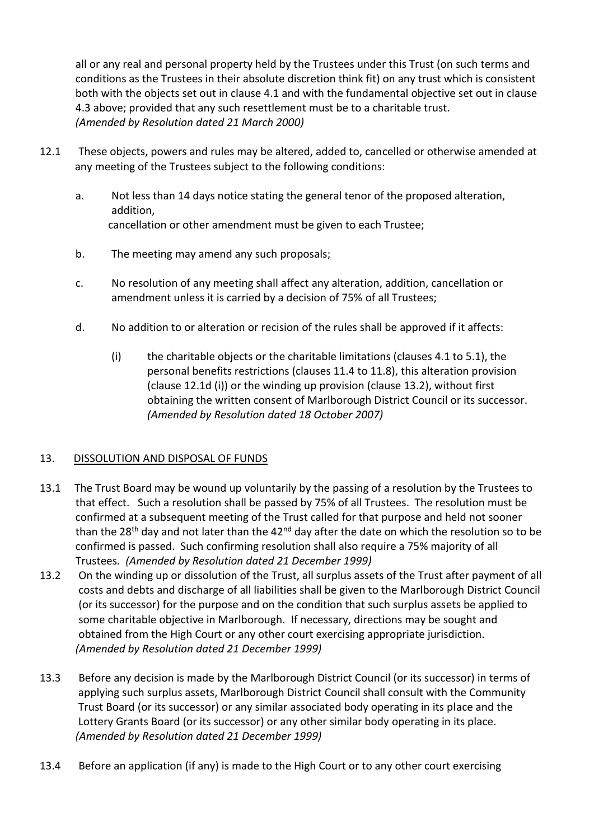all or any real and personal property held by the Trustees under this Trust (on such terms and conditions as the Trustees in their absolute discretion think fit) on any trust which is consistent both with the objects set out in clause 4.1 and with the fundamental objective set out in clause 4.3 above; provided that any such resettlement must be to a charitable trust. *(Amended by Resolution dated 21 March 2000)*

- 12.1 These objects, powers and rules may be altered, added to, cancelled or otherwise amended at any meeting of the Trustees subject to the following conditions:
	- a. Not less than 14 days notice stating the general tenor of the proposed alteration, addition, cancellation or other amendment must be given to each Trustee;
	- b. The meeting may amend any such proposals;
	- c. No resolution of any meeting shall affect any alteration, addition, cancellation or amendment unless it is carried by a decision of 75% of all Trustees;
	- d. No addition to or alteration or recision of the rules shall be approved if it affects:
		- (i) the charitable objects or the charitable limitations (clauses 4.1 to 5.1), the personal benefits restrictions (clauses 11.4 to 11.8), this alteration provision (clause 12.1d (i)) or the winding up provision (clause 13.2), without first obtaining the written consent of Marlborough District Council or its successor. *(Amended by Resolution dated 18 October 2007)*

## 13. DISSOLUTION AND DISPOSAL OF FUNDS

- 13.1 The Trust Board may be wound up voluntarily by the passing of a resolution by the Trustees to that effect. Such a resolution shall be passed by 75% of all Trustees. The resolution must be confirmed at a subsequent meeting of the Trust called for that purpose and held not sooner than the 28<sup>th</sup> day and not later than the 42<sup>nd</sup> day after the date on which the resolution so to be confirmed is passed. Such confirming resolution shall also require a 75% majority of all Trustees*. (Amended by Resolution dated 21 December 1999)*
- 13.2 On the winding up or dissolution of the Trust, all surplus assets of the Trust after payment of all costs and debts and discharge of all liabilities shall be given to the Marlborough District Council (or its successor) for the purpose and on the condition that such surplus assets be applied to some charitable objective in Marlborough. If necessary, directions may be sought and obtained from the High Court or any other court exercising appropriate jurisdiction. *(Amended by Resolution dated 21 December 1999)*
- 13.3 Before any decision is made by the Marlborough District Council (or its successor) in terms of applying such surplus assets, Marlborough District Council shall consult with the Community Trust Board (or its successor) or any similar associated body operating in its place and the Lottery Grants Board (or its successor) or any other similar body operating in its place. *(Amended by Resolution dated 21 December 1999)*
- 13.4 Before an application (if any) is made to the High Court or to any other court exercising